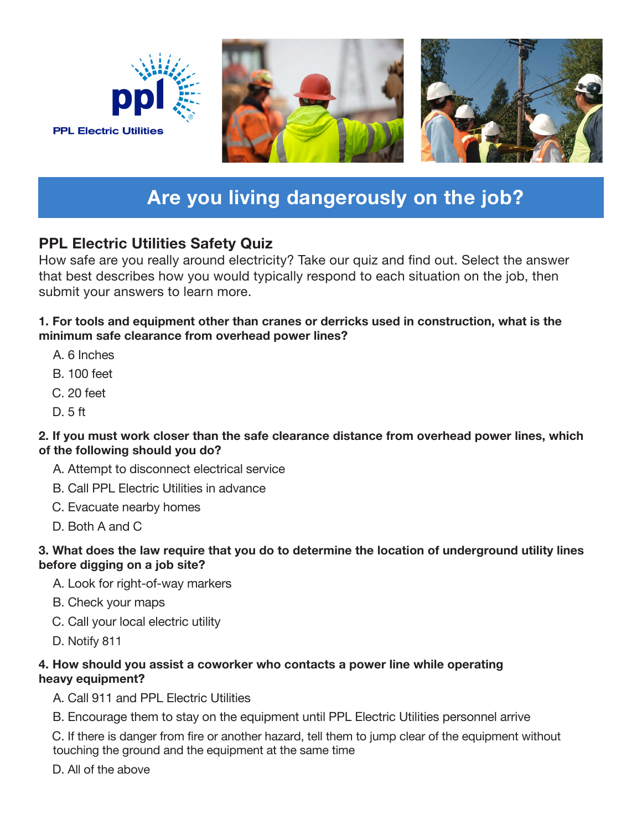

## **Are you living dangerously on the job?**

## **PPL Electric Utilities Safety Quiz**

How safe are you really around electricity? Take our quiz and find out. Select the answer that best describes how you would typically respond to each situation on the job, then submit your answers to learn more.

### **1. For tools and equipment other than cranes or derricks used in construction, what is the minimum safe clearance from overhead power lines?**

- A. 6 Inches
- B. 100 feet
- C. 20 feet
- D. 5 ft

### **2. If you must work closer than the safe clearance distance from overhead power lines, which of the following should you do?**

- A. Attempt to disconnect electrical service
- B. Call PPL Electric Utilities in advance
- C. Evacuate nearby homes
- D. Both A and C

### **3. What does the law require that you do to determine the location of underground utility lines before digging on a job site?**

- A. Look for right-of-way markers
- B. Check your maps
- C. Call your local electric utility
- D. Notify 811

### **4. How should you assist a coworker who contacts a power line while operating heavy equipment?**

- A. Call 911 and PPL Electric Utilities
- B. Encourage them to stay on the equipment until PPL Electric Utilities personnel arrive

C. If there is danger from fire or another hazard, tell them to jump clear of the equipment without touching the ground and the equipment at the same time

D. All of the above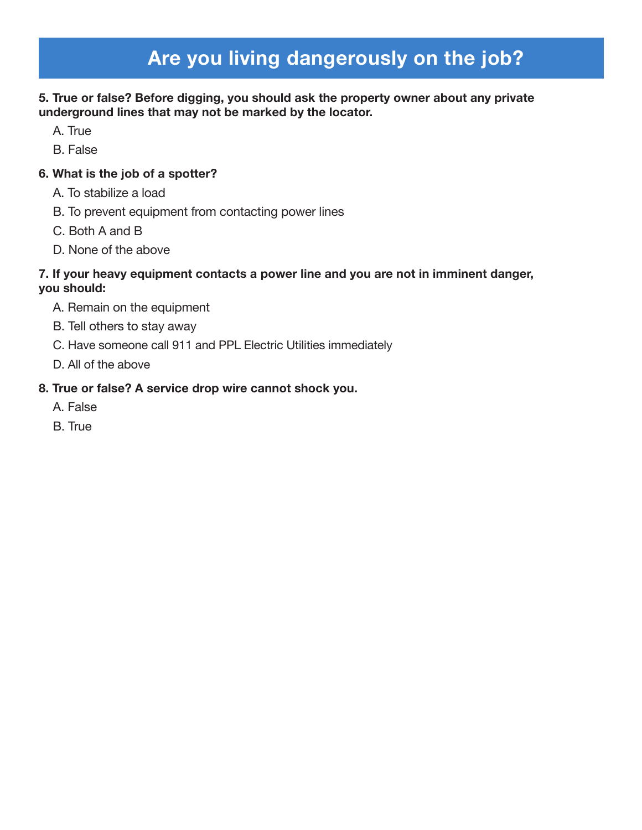# **Are you living dangerously on the job?**

### **5. True or false? Before digging, you should ask the property owner about any private underground lines that may not be marked by the locator.**

- A. True
- B. False

### **6. What is the job of a spotter?**

- A. To stabilize a load
- B. To prevent equipment from contacting power lines
- C. Both A and B
- D. None of the above

### **7. If your heavy equipment contacts a power line and you are not in imminent danger, you should:**

- A. Remain on the equipment
- B. Tell others to stay away
- C. Have someone call 911 and PPL Electric Utilities immediately
- D. All of the above

### **8. True or false? A service drop wire cannot shock you.**

- A. False
- B. True